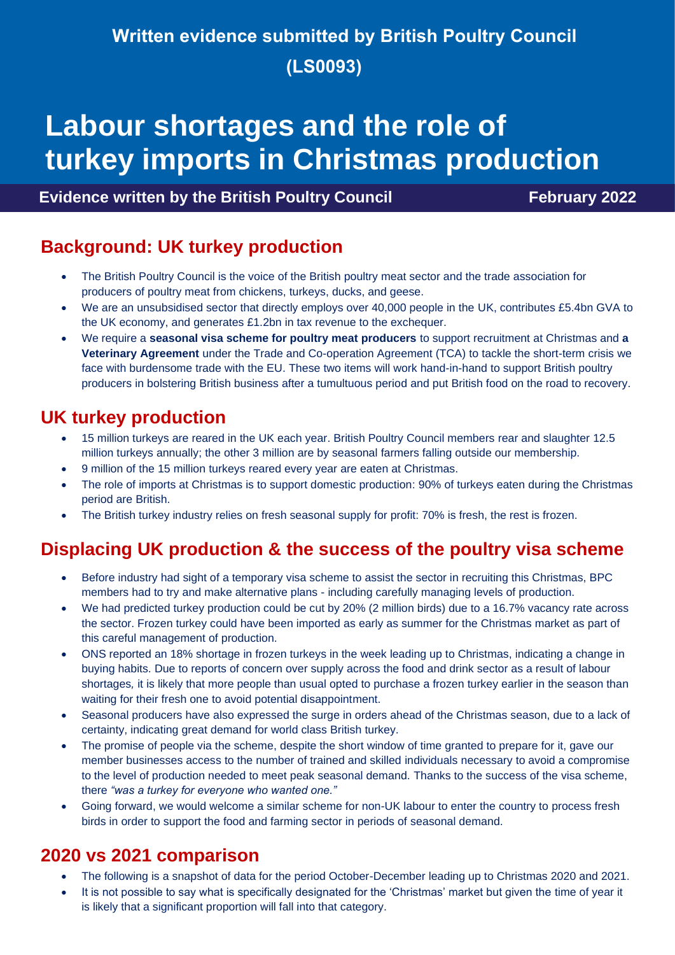## **Written evidence submitted by British Poultry Council (LS0093)**

# **Labour shortages and the role of turkey imports in Christmas production**

#### **Evidence written by the British Poultry Council February 2022**

### **Background: UK turkey production**

- The British Poultry Council is the voice of the British poultry meat sector and the trade association for producers of poultry meat from chickens, turkeys, ducks, and geese.
- We are an unsubsidised sector that directly employs over 40,000 people in the UK, contributes £5.4bn GVA to the UK economy, and generates £1.2bn in tax revenue to the exchequer.
- We require a **seasonal visa scheme for poultry meat producers** to support recruitment at Christmas and **a Veterinary Agreement** under the Trade and Co-operation Agreement (TCA) to tackle the short-term crisis we face with burdensome trade with the EU. These two items will work hand-in-hand to support British poultry producers in bolstering British business after a tumultuous period and put British food on the road to recovery.

### **UK turkey production**

- 15 million turkeys are reared in the UK each year. British Poultry Council members rear and slaughter 12.5 million turkeys annually; the other 3 million are by seasonal farmers falling outside our membership.
- 9 million of the 15 million turkeys reared every year are eaten at Christmas.
- The role of imports at Christmas is to support domestic production: 90% of turkeys eaten during the Christmas period are British.
- The British turkey industry relies on fresh seasonal supply for profit: 70% is fresh, the rest is frozen.

### **Displacing UK production & the success of the poultry visa scheme**

- Before industry had sight of a temporary visa scheme to assist the sector in recruiting this Christmas, BPC members had to try and make alternative plans - including carefully managing levels of production.
- We had predicted turkey production could be cut by 20% (2 million birds) due to a 16.7% vacancy rate across the sector. Frozen turkey could have been imported as early as summer for the Christmas market as part of this careful management of production.
- ONS reported an 18% shortage in frozen turkeys in the week leading up to Christmas, indicating a change in buying habits. Due to reports of concern over supply across the food and drink sector as a result of labour shortages*,* it is likely that more people than usual opted to purchase a frozen turkey earlier in the season than waiting for their fresh one to avoid potential disappointment.
- Seasonal producers have also expressed the surge in orders ahead of the Christmas season, due to a lack of certainty, indicating great demand for world class British turkey.
- The promise of people via the scheme, despite the short window of time granted to prepare for it, gave our member businesses access to the number of trained and skilled individuals necessary to avoid a compromise to the level of production needed to meet peak seasonal demand. Thanks to the success of the visa scheme, there *"was a turkey for everyone who wanted one."*
- Going forward, we would welcome a similar scheme for non-UK labour to enter the country to process fresh birds in order to support the food and farming sector in periods of seasonal demand.

#### **2020 vs 2021 comparison**

- The following is a snapshot of data for the period October-December leading up to Christmas 2020 and 2021.
- It is not possible to say what is specifically designated for the 'Christmas' market but given the time of year it is likely that a significant proportion will fall into that category.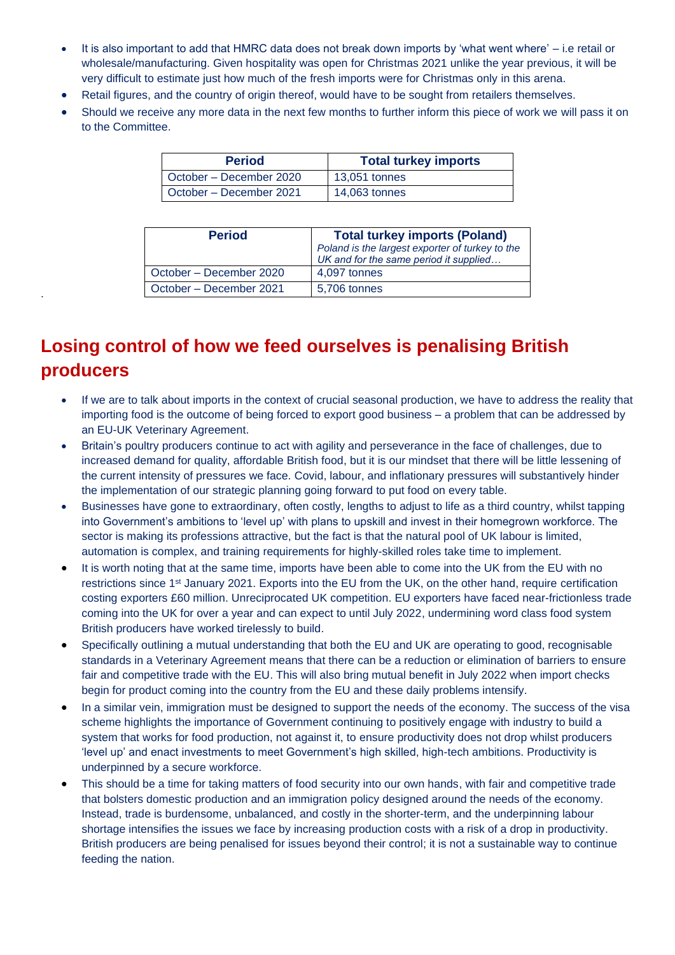- It is also important to add that HMRC data does not break down imports by 'what went where' i.e retail or wholesale/manufacturing. Given hospitality was open for Christmas 2021 unlike the year previous, it will be very difficult to estimate just how much of the fresh imports were for Christmas only in this arena.
- Retail figures, and the country of origin thereof, would have to be sought from retailers themselves.
- Should we receive any more data in the next few months to further inform this piece of work we will pass it on to the Committee.

| <b>Period</b>           | <b>Total turkey imports</b> |
|-------------------------|-----------------------------|
| October - December 2020 | 13,051 tonnes               |
| October - December 2021 | 14,063 tonnes               |

| <b>Period</b>           | <b>Total turkey imports (Poland)</b><br>Poland is the largest exporter of turkey to the<br>UK and for the same period it supplied |
|-------------------------|-----------------------------------------------------------------------------------------------------------------------------------|
| October – December 2020 | 4,097 tonnes                                                                                                                      |
| October - December 2021 | 5,706 tonnes                                                                                                                      |

## **Losing control of how we feed ourselves is penalising British producers**

.

- If we are to talk about imports in the context of crucial seasonal production, we have to address the reality that importing food is the outcome of being forced to export good business – a problem that can be addressed by an EU-UK Veterinary Agreement.
- Britain's poultry producers continue to act with agility and perseverance in the face of challenges, due to increased demand for quality, affordable British food, but it is our mindset that there will be little lessening of the current intensity of pressures we face. Covid, labour, and inflationary pressures will substantively hinder the implementation of our strategic planning going forward to put food on every table.
- Businesses have gone to extraordinary, often costly, lengths to adjust to life as a third country, whilst tapping into Government's ambitions to 'level up' with plans to upskill and invest in their homegrown workforce. The sector is making its professions attractive, but the fact is that the natural pool of UK labour is limited, automation is complex, and training requirements for highly-skilled roles take time to implement.
- It is worth noting that at the same time, imports have been able to come into the UK from the EU with no restrictions since 1st January 2021. Exports into the EU from the UK, on the other hand, require certification costing exporters £60 million. Unreciprocated UK competition. EU exporters have faced near-frictionless trade coming into the UK for over a year and can expect to until July 2022, undermining word class food system British producers have worked tirelessly to build.
- Specifically outlining a mutual understanding that both the EU and UK are operating to good, recognisable standards in a Veterinary Agreement means that there can be a reduction or elimination of barriers to ensure fair and competitive trade with the EU. This will also bring mutual benefit in July 2022 when import checks begin for product coming into the country from the EU and these daily problems intensify.
- In a similar vein, immigration must be designed to support the needs of the economy. The success of the visa scheme highlights the importance of Government continuing to positively engage with industry to build a system that works for food production, not against it, to ensure productivity does not drop whilst producers 'level up' and enact investments to meet Government's high skilled, high-tech ambitions. Productivity is underpinned by a secure workforce.
- This should be a time for taking matters of food security into our own hands, with fair and competitive trade that bolsters domestic production and an immigration policy designed around the needs of the economy. Instead, trade is burdensome, unbalanced, and costly in the shorter-term, and the underpinning labour shortage intensifies the issues we face by increasing production costs with a risk of a drop in productivity. British producers are being penalised for issues beyond their control; it is not a sustainable way to continue feeding the nation.